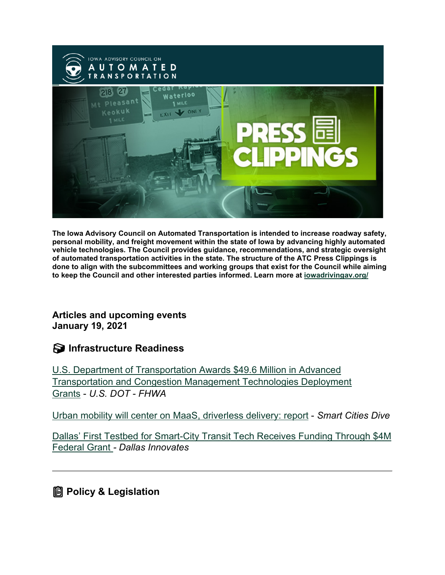

**The Iowa Advisory Council on Automated Transportation is intended to increase roadway safety, personal mobility, and freight movement within the state of Iowa by advancing highly automated vehicle technologies. The Council provides guidance, recommendations, and strategic oversight of automated transportation activities in the state. The structure of the ATC Press Clippings is done to align with the subcommittees and working groups that exist for the Council while aiming to keep the Council and other interested parties informed. Learn more at [iowadrivingav.org/](https://iowadrivingav.org/?utm_medium=email&utm_source=govdelivery)**

**Articles and upcoming events January 19, 2021**

**S** Infrastructure Readiness

[U.S. Department of Transportation Awards \\$49.6 Million in Advanced](https://cms8.fhwa.dot.gov/newsroom/us-department-transportation-awards-496-million-advanced-transportation-and-congestion?utm_medium=email&utm_source=govdelivery)  [Transportation and Congestion Management Technologies Deployment](https://cms8.fhwa.dot.gov/newsroom/us-department-transportation-awards-496-million-advanced-transportation-and-congestion?utm_medium=email&utm_source=govdelivery)  [Grants](https://cms8.fhwa.dot.gov/newsroom/us-department-transportation-awards-496-million-advanced-transportation-and-congestion?utm_medium=email&utm_source=govdelivery) - *U.S. DOT - FHWA*

[Urban mobility will center on MaaS, driverless delivery: report](https://www.smartcitiesdive.com/news/urban-mobility-will-center-on-maas-driverless-delivery-report/593012/?utm_medium=email&utm_source=govdelivery) - *Smart Cities Dive*

[Dallas' First Testbed for Smart-City Transit Tech Receives Funding Through \\$4M](https://dallasinnovates.com/dallas-first-testbed-for-smart-city-transit-tech-receives-funding-through-4m-federal-grant/?utm_medium=email&utm_source=govdelivery)  [Federal Grant](https://dallasinnovates.com/dallas-first-testbed-for-smart-city-transit-tech-receives-funding-through-4m-federal-grant/?utm_medium=email&utm_source=govdelivery) *- Dallas Innovates*

**Policy & Legislation**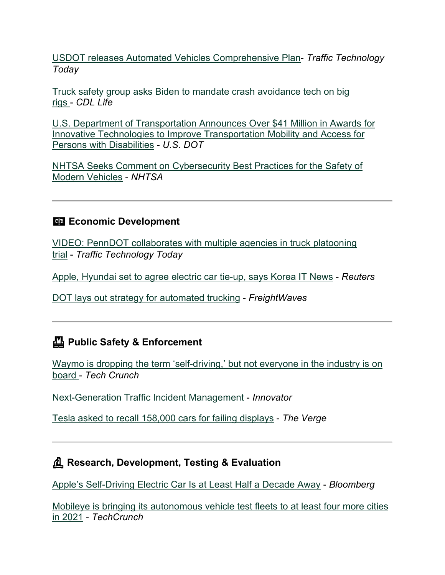[USDOT releases Automated Vehicles Comprehensive Plan-](https://www.traffictechnologytoday.com/news/autonomous-vehicles/usdot-releases-automated-vehicles-comprehensive-plan.html?utm_medium=email&utm_source=govdelivery) *Traffic Technology Today*

[Truck safety group asks Biden to mandate crash avoidance tech on big](https://cdllife.com/2020/truck-safety-group-asks-biden-to-mandate-crash-avoidance-tech-on-big-rigs/?utm_medium=email&utm_source=govdelivery)  [rigs](https://cdllife.com/2020/truck-safety-group-asks-biden-to-mandate-crash-avoidance-tech-on-big-rigs/?utm_medium=email&utm_source=govdelivery) - *CDL Life*

[U.S. Department of Transportation Announces Over \\$41 Million in Awards for](https://www.transportation.gov/briefing-room/us-department-transportation-announces-over-41-million-awards-innovative-technologies?utm_medium=email&utm_source=govdelivery)  [Innovative Technologies to Improve Transportation Mobility and Access for](https://www.transportation.gov/briefing-room/us-department-transportation-announces-over-41-million-awards-innovative-technologies?utm_medium=email&utm_source=govdelivery)  [Persons with Disabilities](https://www.transportation.gov/briefing-room/us-department-transportation-announces-over-41-million-awards-innovative-technologies?utm_medium=email&utm_source=govdelivery) - *U.S. DOT*

[NHTSA Seeks Comment on Cybersecurity Best Practices for the Safety of](https://www.nhtsa.gov/press-releases/cybersecurity-best-practices-comments?utm_medium=email&utm_source=govdelivery)  [Modern Vehicles](https://www.nhtsa.gov/press-releases/cybersecurity-best-practices-comments?utm_medium=email&utm_source=govdelivery) - *NHTSA*

### **Exp. Economic Development**

[VIDEO: PennDOT collaborates with multiple agencies in truck platooning](https://www.traffictechnologytoday.com/videos/video-penndot-collaborates-with-multiple-agencies-in-truck-platooning-trial.html?utm_medium=email&utm_source=govdelivery)  [trial](https://www.traffictechnologytoday.com/videos/video-penndot-collaborates-with-multiple-agencies-in-truck-platooning-trial.html?utm_medium=email&utm_source=govdelivery) - *Traffic Technology Today*

[Apple, Hyundai set to agree electric car tie-up, says Korea IT News](https://www.reuters.com/article/uk-hyundai-motor-apple/apple-hyundai-set-to-agree-electric-car-tie-up-says-korea-it-news-idUSKBN29F0C1?utm_medium=email&utm_source=govdelivery) - *Reuters*

[DOT lays out strategy for automated trucking](https://www.freightwaves.com/news/dot-lays-out-strategy-for-automated-trucking?utm_medium=email&utm_source=govdelivery) - *FreightWaves*

# **Public Safety & Enforcement**

[Waymo is dropping the term 'self-driving,' but not everyone in the industry is on](https://techcrunch.com/2021/01/07/waymo-is-dropping-the-term-self-driving-but-not-everyone-in-the-industry-is-on-board/?utm_medium=email&utm_source=govdelivery)  [board](https://techcrunch.com/2021/01/07/waymo-is-dropping-the-term-self-driving-but-not-everyone-in-the-industry-is-on-board/?utm_medium=email&utm_source=govdelivery) - *Tech Crunch*

[Next-Generation Traffic Incident Management](https://www.fhwa.dot.gov/innovation/innovator/issue82/page_04.html?utm_medium=email&utm_source=govdelivery) - *Innovator*

[Tesla asked to recall 158,000 cars for failing displays](https://www.theverge.com/2021/1/13/22229854/tesla-recall-model-s-x-touchscreens-bricked-failure-nhtsa?utm_medium=email&utm_source=govdelivery) - *The Verge*

# **Research, Development, Testing & Evaluation**

[Apple's Self-Driving Electric Car Is at Least Half a Decade Away](https://www.bloomberg.com/news/articles/2021-01-07/apple-s-aapl-tesla-tsla-killer-won-t-ship-for-at-least-half-a-decade?sref=9hGJlFio&utm_medium=email&utm_source=govdelivery) - *Bloomberg*

[Mobileye is bringing its autonomous vehicle test fleets to at least four more cities](https://techcrunch.com/2021/01/11/mobileye-is-bringing-its-autonomous-vehicle-test-fleets-to-at-least-four-more-cities-in-2021/?utm_medium=email&utm_source=govdelivery)  [in 2021](https://techcrunch.com/2021/01/11/mobileye-is-bringing-its-autonomous-vehicle-test-fleets-to-at-least-four-more-cities-in-2021/?utm_medium=email&utm_source=govdelivery) - *TechCrunch*